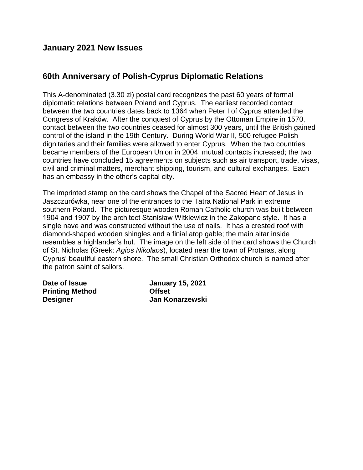#### **January 2021 New Issues**

### **60th Anniversary of Polish-Cyprus Diplomatic Relations**

This A-denominated (3.30 zł) postal card recognizes the past 60 years of formal diplomatic relations between Poland and Cyprus. The earliest recorded contact between the two countries dates back to 1364 when Peter I of Cyprus attended the Congress of Kraków. After the conquest of Cyprus by the Ottoman Empire in 1570, contact between the two countries ceased for almost 300 years, until the British gained control of the island in the 19th Century. During World War II, 500 refugee Polish dignitaries and their families were allowed to enter Cyprus. When the two countries became members of the European Union in 2004, mutual contacts increased; the two countries have concluded 15 agreements on subjects such as air transport, trade, visas, civil and criminal matters, merchant shipping, tourism, and cultural exchanges. Each has an embassy in the other's capital city.

The imprinted stamp on the card shows the Chapel of the Sacred Heart of Jesus in Jaszczurówka, near one of the entrances to the Tatra National Park in extreme southern Poland. The picturesque wooden Roman Catholic church was built between 1904 and 1907 by the architect Stanisław Witkiewicz in the Zakopane style. It has a single nave and was constructed without the use of nails. It has a crested roof with diamond-shaped wooden shingles and a finial atop gable; the main altar inside resembles a highlander's hut. The image on the left side of the card shows the Church of St. Nicholas (Greek: *Agios Nikolaos*), located near the town of Protaras, along Cyprus' beautiful eastern shore. The small Christian Orthodox church is named after the patron saint of sailors.

| Date of Issue          | <b>January 15, 2021</b> |
|------------------------|-------------------------|
| <b>Printing Method</b> | <b>Offset</b>           |
| <b>Designer</b>        | <b>Jan Konarzewski</b>  |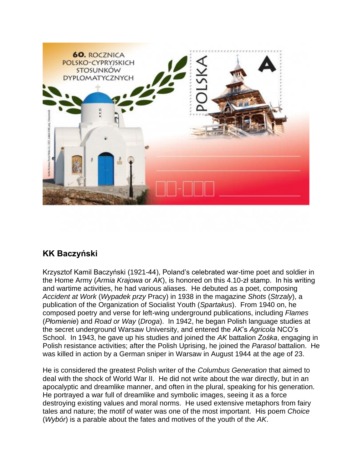

# **KK Baczyński**

Krzysztof Kamil Baczyński (1921-44), Poland's celebrated war-time poet and soldier in the Home Army (*Armia Krajowa* or *AK*), is honored on this 4.10-zł stamp. In his writing and wartime activities, he had various aliases. He debuted as a poet, composing *Accident at Work* (*Wypadek przy* Pracy) in 1938 in the magazine *Shots* (*Strzaly*), a publication of the Organization of Socialist Youth (*Spartakus*). From 1940 on, he composed poetry and verse for left-wing underground publications, including *Flames*  (*Płomienie*) and *Road or Way* (*Droga*). In 1942, he began Polish language studies at the secret underground Warsaw University, and entered the *AK*'s *Agricola* NCO's School. In 1943, he gave up his studies and joined the *AK* battalion *Zośka*, engaging in Polish resistance activities; after the Polish Uprising, he joined the *Parasol* battalion. He was killed in action by a German sniper in Warsaw in August 1944 at the age of 23.

He is considered the greatest Polish writer of the *Columbus Generation* that aimed to deal with the shock of World War II. He did not write about the war directly, but in an apocalyptic and dreamlike manner, and often in the plural, speaking for his generation. He portrayed a war full of dreamlike and symbolic images, seeing it as a force destroying existing values and moral norms. He used extensive metaphors from fairy tales and nature; the motif of water was one of the most important. His poem *Choice* (*Wybór*) is a parable about the fates and motives of the youth of the *AK*.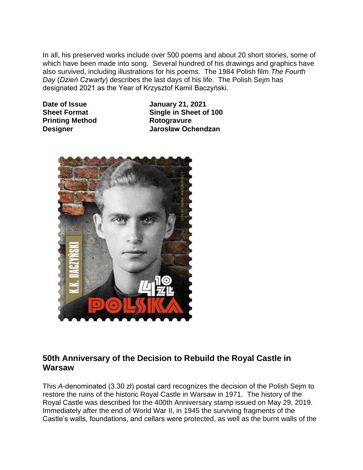In all, his preserved works include over 500 poems and about 20 short stories, some of which have been made into song. Several hundred of his drawings and graphics have also survived, including illustrations for his poems. The 1984 Polish film *The Fourth Day* (*Dzień Czwarty*) describes the last days of his life. The Polish Sejm has designated 2021 as the Year of Krzysztof Kamil Baczyński.

**Printing Method Rotogravure** 

**Date of Issue January 21, 2021 Sheet Format Single in Sheet of 100 Designer Jarosław Ochendzan**



## **50th Anniversary of the Decision to Rebuild the Royal Castle in Warsaw**

This *A*-denominated (3.30 zł) postal card recognizes the decision of the Polish Sejm to restore the ruins of the historic Royal Castle in Warsaw in 1971. The history of the Royal Castle was described for the 400th Anniversary stamp issued on May 29, 2019. Immediately after the end of World War II, in 1945 the surviving fragments of the Castle's walls, foundations, and cellars were protected, as well as the burnt walls of the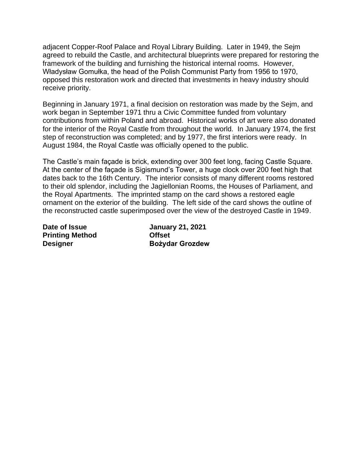adjacent Copper-Roof Palace and Royal Library Building. Later in 1949, the Sejm agreed to rebuild the Castle, and architectural blueprints were prepared for restoring the framework of the building and furnishing the historical internal rooms. However, Władysław Gomułka, the head of the Polish Communist Party from 1956 to 1970, opposed this restoration work and directed that investments in heavy industry should receive priority.

Beginning in January 1971, a final decision on restoration was made by the Sejm, and work began in September 1971 thru a Civic Committee funded from voluntary contributions from within Poland and abroad. Historical works of art were also donated for the interior of the Royal Castle from throughout the world. In January 1974, the first step of reconstruction was completed; and by 1977, the first interiors were ready. In August 1984, the Royal Castle was officially opened to the public.

The Castle's main façade is brick, extending over 300 feet long, facing Castle Square. At the center of the façade is Sigismund's Tower, a huge clock over 200 feet high that dates back to the 16th Century. The interior consists of many different rooms restored to their old splendor, including the Jagiellonian Rooms, the Houses of Parliament, and the Royal Apartments. The imprinted stamp on the card shows a restored eagle ornament on the exterior of the building. The left side of the card shows the outline of the reconstructed castle superimposed over the view of the destroyed Castle in 1949.

**Printing Method Offset**

**Date of Issue January 21, 2021 Designer Bożydar Grozdew**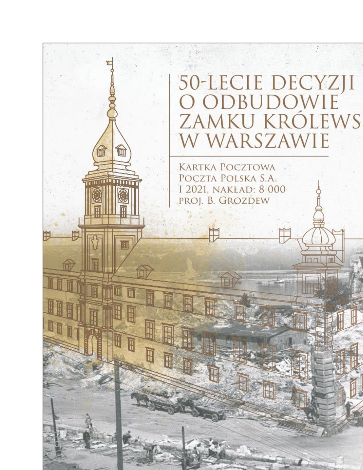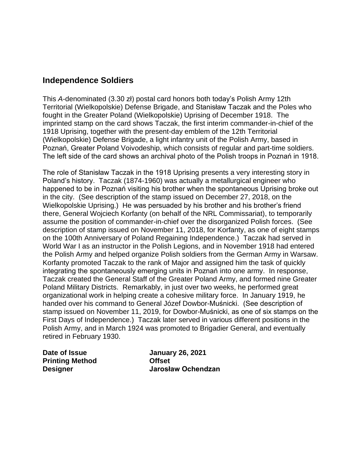### **Independence Soldiers**

This *A*-denominated (3.30 zł) postal card honors both today's Polish Army 12th Territorial (Wielkopolskie) Defense Brigade, and Stanisław Taczak and the Poles who fought in the Greater Poland (Wielkopolskie) Uprising of December 1918. The imprinted stamp on the card shows Taczak, the first interim commander-in-chief of the 1918 Uprising, together with the present-day emblem of the 12th Territorial (Wielkopolskie) Defense Brigade, a light infantry unit of the Polish Army, based in Poznań, Greater Poland Voivodeship, which consists of regular and part-time soldiers. The left side of the card shows an archival photo of the Polish troops in Poznań in 1918.

The role of Stanisław Taczak in the 1918 Uprising presents a very interesting story in Poland's history. Taczak (1874-1960) was actually a metallurgical engineer who happened to be in Poznań visiting his brother when the spontaneous Uprising broke out in the city. (See description of the stamp issued on December 27, 2018, on the Wielkopolskie Uprising.) He was persuaded by his brother and his brother's friend there, General Wojciech Korfanty (on behalf of the NRL Commissariat), to temporarily assume the position of commander-in-chief over the disorganized Polish forces. (See description of stamp issued on November 11, 2018, for Korfanty, as one of eight stamps on the 100th Anniversary of Poland Regaining Independence.) Taczak had served in World War I as an instructor in the Polish Legions, and in November 1918 had entered the Polish Army and helped organize Polish soldiers from the German Army in Warsaw. Korfanty promoted Taczak to the rank of Major and assigned him the task of quickly integrating the spontaneously emerging units in Poznań into one army. In response, Taczak created the General Staff of the Greater Poland Army, and formed nine Greater Poland Military Districts. Remarkably, in just over two weeks, he performed great organizational work in helping create a cohesive military force. In January 1919, he handed over his command to General Józef Dowbor-Muśnicki. (See description of stamp issued on November 11, 2019, for Dowbor-Muśnicki, as one of six stamps on the First Days of Independence.) Taczak later served in various different positions in the Polish Army, and in March 1924 was promoted to Brigadier General, and eventually retired in February 1930.

| Date of Issue          | <b>January 26, 2021</b> |
|------------------------|-------------------------|
| <b>Printing Method</b> | <b>Offset</b>           |
| <b>Designer</b>        | Jarosław Ochendzan      |